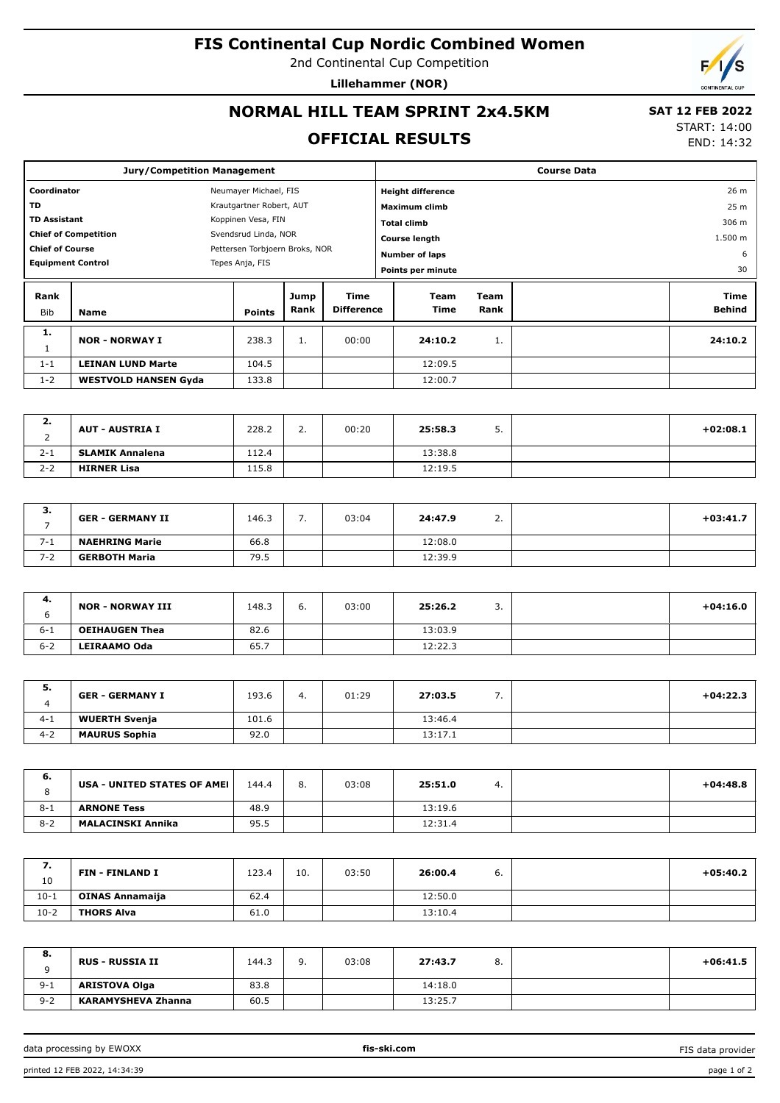#### **FIS Continental Cup Nordic Combined Women**

2nd Continental Cup Competition

**Lillehammer (NOR)**

## **NORMAL HILL TEAM SPRINT 2x4.5KM**

#### **SAT 12 FEB 2022** START: 14:00

END: 14:32

# **OFFICIAL RESULTS**

|                          | <b>Jury/Competition Management</b>        |                                |              |                           |  | <b>Course Data</b>       |                 |  |                       |  |  |
|--------------------------|-------------------------------------------|--------------------------------|--------------|---------------------------|--|--------------------------|-----------------|--|-----------------------|--|--|
|                          | Coordinator<br>Neumayer Michael, FIS      |                                |              |                           |  | <b>Height difference</b> |                 |  | 26 m                  |  |  |
| TD                       | Krautgartner Robert, AUT                  |                                |              | Maximum climb             |  |                          | 25 <sub>m</sub> |  |                       |  |  |
|                          | <b>TD Assistant</b><br>Koppinen Vesa, FIN |                                |              | <b>Total climb</b>        |  |                          | 306 m           |  |                       |  |  |
|                          | <b>Chief of Competition</b>               | Svendsrud Linda, NOR           |              |                           |  | <b>Course length</b>     |                 |  | 1.500 m               |  |  |
| <b>Chief of Course</b>   |                                           | Pettersen Torbjoern Broks, NOR |              |                           |  | <b>Number of laps</b>    |                 |  | 6                     |  |  |
| <b>Equipment Control</b> |                                           | Tepes Anja, FIS                |              |                           |  | Points per minute        |                 |  | 30                    |  |  |
| Rank<br>Bib              | <b>Name</b>                               | <b>Points</b>                  | Jump<br>Rank | Time<br><b>Difference</b> |  | Team<br>Time             | Team<br>Rank    |  | Time<br><b>Behind</b> |  |  |
| 1.                       | <b>NOR - NORWAY I</b>                     | 238.3                          | 1.           | 00:00                     |  | 24:10.2                  | 1.              |  | 24:10.2               |  |  |
| <b>T</b>                 |                                           |                                |              |                           |  |                          |                 |  |                       |  |  |
| $1 - 1$                  | <b>LEINAN LUND Marte</b>                  | 104.5                          |              |                           |  | 12:09.5                  |                 |  |                       |  |  |

| <b>4.</b> | <b>AUT - AUSTRIA I</b> | 228.2 | <u>.</u> | 00:20 | 25:58.3 | <u>.</u> | $+02:08.1$ |
|-----------|------------------------|-------|----------|-------|---------|----------|------------|
| $2 - 1$   | <b>SLAMIK Annalena</b> | 112.4 |          |       | 13:38.8 |          |            |
| $2 - 2$   | <b>HIRNER Lisa</b>     | 115.8 |          |       | 12:19.5 |          |            |

| <b>.</b> | <b>GER - GERMANY II</b> | 146.3 | -<br>. . | 03:04 | 24:47.9 | <u>. . </u> | $+03:41.7$ |
|----------|-------------------------|-------|----------|-------|---------|-------------|------------|
| $7 - 1$  | <b>NAEHRING Marie</b>   | 66.8  |          |       | 12:08.0 |             |            |
| $7 - 2$  | <b>GERBOTH Maria</b>    | 79.5  |          |       | 12:39.9 |             |            |

| 4.      | <b>NOR - NORWAY III</b> | 148.3 | ь. | 03:00 | 25:26.2 | <u>.</u> | $+04:16.0$ |
|---------|-------------------------|-------|----|-------|---------|----------|------------|
| $6 - 1$ | <b>OEIHAUGEN Thea</b>   | 82.6  |    |       | 13:03.9 |          |            |
| $6 - 2$ | LEIRAAMO Oda            | 65.7  |    |       | 12:22.3 |          |            |

| э.      | <b>GER - GERMANY I</b> | 193.6 | 4. | 01:29 | 27:03.5 |  | $+04:22.3$ |
|---------|------------------------|-------|----|-------|---------|--|------------|
| $4 - 1$ | <b>WUERTH Svenja</b>   | 101.6 |    |       | 13:46.4 |  |            |
| $4 - 2$ | <b>MAURUS Sophia</b>   | 92.0  |    |       | 13:17.1 |  |            |

| 6.      | USA - UNITED STATES OF AMEI | 144.4 | 8. | 03:08 | 25:51.0 | 4. | $+04:48.8$ |
|---------|-----------------------------|-------|----|-------|---------|----|------------|
| $8 - 1$ | <b>ARNONE Tess</b>          | 48.9  |    |       | 13:19.6 |    |            |
| $8 - 2$ | <b>MALACINSKI Annika</b>    | 95.5  |    |       | 12:31.4 |    |            |

| ,,<br>10 | <b>FIN - FINLAND I</b> | 123.4 | 10. | 03:50 | 26:00.4 | ο. | $+05:40.2$ |
|----------|------------------------|-------|-----|-------|---------|----|------------|
| $10-1$   | <b>OINAS Annamaija</b> | 62.4  |     |       | 12:50.0 |    |            |
| $10-2$   | <b>THORS Alva</b>      | 61.0  |     |       | 13:10.4 |    |            |

| 8.      | <b>RUS - RUSSIA II</b>    | 144.3 | a<br><b>.</b> | 03:08 | 27:43.7 | 8. | $+06:41.5$ |
|---------|---------------------------|-------|---------------|-------|---------|----|------------|
| $9 - 1$ | <b>ARISTOVA Olga</b>      | 83.8  |               |       | 14:18.0 |    |            |
| $9 - 2$ | <b>KARAMYSHEVA Zhanna</b> | 60.5  |               |       | 13:25.7 |    |            |

data processing by EWOXX **fis-ski.com**

FIS data provider